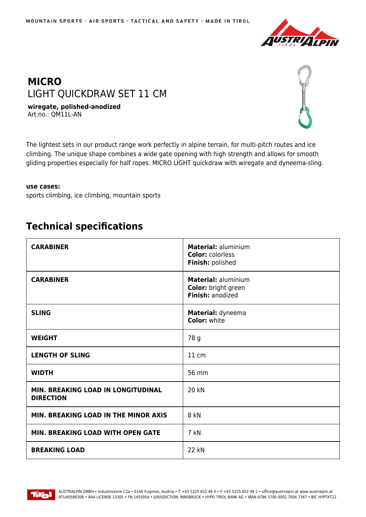

## **MICRO** LIGHT QUICKDRAW SET 11 CM

**wiregate, polished-anodized** Art.no.: QM11L-AN



The lightest sets in our product range work perfectly in alpine terrain, for multi-pitch routes and ice climbing. The unique shape combines a wide gate opening with high strength and allows for smooth gliding properties especially for half ropes. MICRO LIGHT quickdraw with wiregate and dyneema-sling.

## **use cases:**

sports climbing, ice climbing, mountain sports

## **Technical specifications**

| <b>CARABINER</b>                                       | <b>Material: aluminium</b><br><b>Color: colorless</b><br>Finish: polished |
|--------------------------------------------------------|---------------------------------------------------------------------------|
| <b>CARABINER</b>                                       | <b>Material: aluminium</b><br>Color: bright green<br>Finish: anodized     |
| <b>SLING</b>                                           | Material: dyneema<br><b>Color: white</b>                                  |
| <b>WEIGHT</b>                                          | 78 g                                                                      |
| <b>LENGTH OF SLING</b>                                 | 11 cm                                                                     |
| <b>WIDTH</b>                                           | 56 mm                                                                     |
| MIN. BREAKING LOAD IN LONGITUDINAL<br><b>DIRECTION</b> | 20 kN                                                                     |
| MIN. BREAKING LOAD IN THE MINOR AXIS                   | 8 kN                                                                      |
| <b>MIN. BREAKING LOAD WITH OPEN GATE</b>               | 7 kN                                                                      |
| <b>BREAKING LOAD</b>                                   | 22 kN                                                                     |